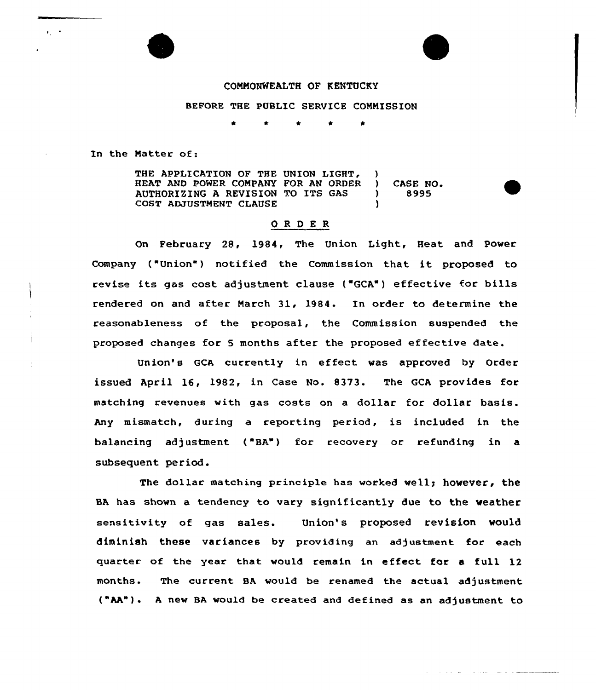#### COMMONWEALTH OF KENTUCKY

### BEFORE THE PUBLIC SERVICE COMMISSION

In the Matter of:

 $\epsilon_{\rm c}$  ,  $\epsilon$ 

THE APPLICATION OF THE UNION LIGHT, )<br>HEAT AND POWER COMPANY FOR AN ORDER ) HEAT AND POWER COMPANY FOR AN ORDER ) CASE NO. AUTHORIZING A REVISION TO ITS GAS ) COST ADJUSTMENT CLAUSE

## ORDER

On February 28, 1984, The Union Light, Heat and Power Company ("Union") notified the Commission that it proposed to revise its gas cost adjustment clause ("GCA") effective for bills rendered on and after March 31, 1984. In order to determine the reasonableness of the proposal, the Commission suspended the proposed changes for <sup>5</sup> months after the proposed effective date.

Union's GCA currently in effect was approved by Order issued April 16, 1982, in Case No. 8373. The GCA provides for matching revenues with gas costs on a dollar for dollar basis. Any mismatch, during a reporting period, is included in the balancing adjustment ("BA") for recovery or refunding in a subsequent period.

The dollar matching principle has worked well; however, the BA has shown a tendency to vary significantly due to the weather sensitivity of gas sales. Union's proposed revision would diminish these variances by providing an adjustment for each quarter of the year that would remain in effect for a full 12 months. The current BA would be renamed the actual adjustment ("AA") <sup>~</sup> <sup>A</sup> new BA would be created and defined as an adjustment to

المحمد فالتحالف الفاعلين

سامات المحاملات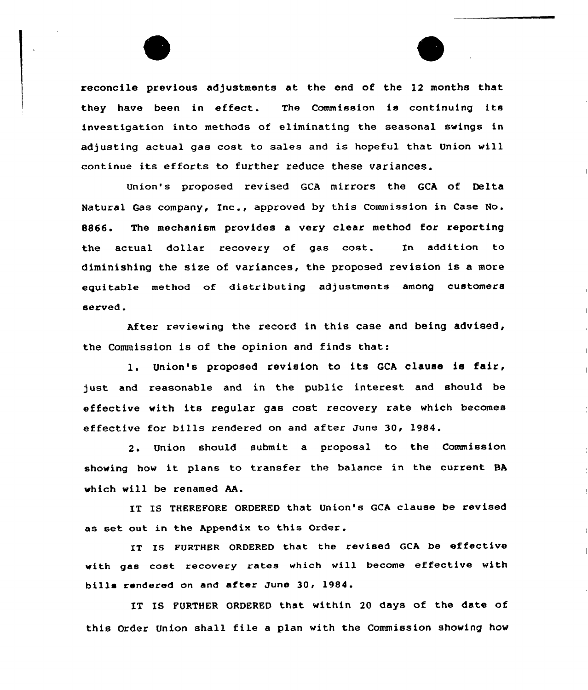reconcile previous adjustments at the end of the 12 months that they have been in effect. The Commission is continuing its investigation into methods of eliminating the seasonal swings in adjusting actual gas cost to sales and is hopeful that Union will continue its efforts to further reduce these variances.

Union's proposed revised GCA mirrors the GCA of Delta Natural Gas company, Inc., approved by this Commission in Case No. 8866. The mechanism provides a very clear method for reporting the actual dollar recovery of gas cost. In addition to diminishing the size of variances, the proposed revision is a more equitable method of distributing adjustments among customers served.

After reviewing the record in this case and being advised, the Commission is of the opinion and finds that:

l. Union's proposed revision to its GCA clause is fair, just and reasonable and in the public interest and should be effective with its regular gas cost recovery rate which becomes effective for bills rendered on and after June 30, 1984.

2. Union should submit a proposal to the Commission showing how it plans to transfer the balance in the current BA which will be renamed AA.

IT IS THEREFORE ORDERED that Union's GCA clause be revised as set out in the Appendix to this Order.

IT Is EURTHER ORDERED that the revised GCA be effective with gas cost recovery rates which will become effective with bills rendered on and after June 30, 1984.

IT IS FURTHER ORDERED that within 20 days of the date of this Order Union shall file <sup>a</sup> plan with the Commission showing how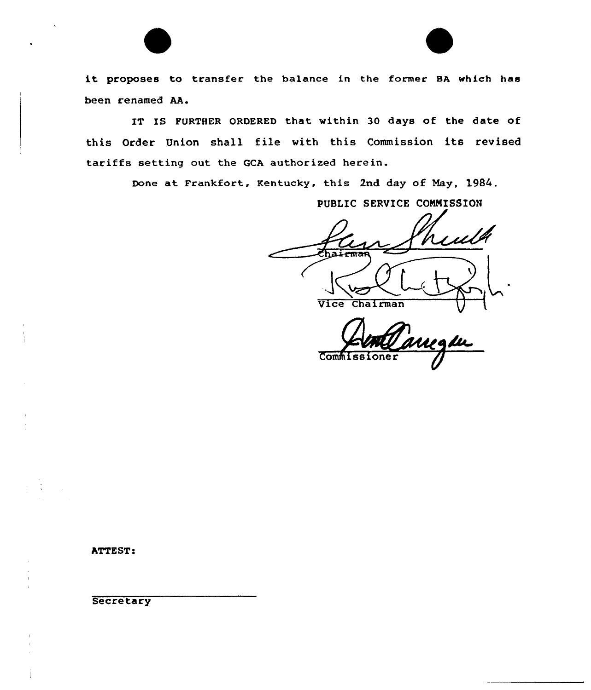it proposes to transfer the balance in the former BA which has been renamed AA.

IT IS FURTHER ORDERED that within 30 days of the date of this Order Union shall file with this Commission its revised tariffs setting out the GCh authorized herein.

Done at Frankfort, Kentucky, this 2nd day of Nay, 1984.

PUBLIC SERVICE COMMISSION

Vice Chairman

**Commiss** 

ATTEST:

**Secretary**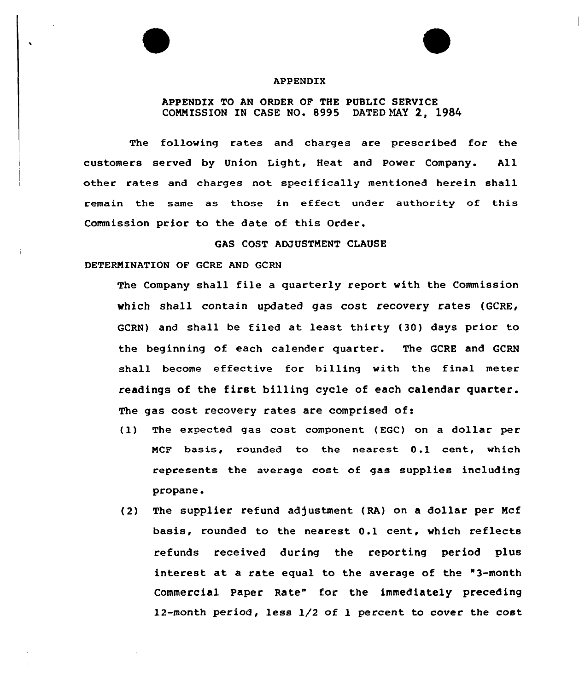### APPENDIX

# APPENDIX TO AN ORDER OF THE PUBLIC SERVICE COMMISSION IN CASE NO. 8995 DATED NAY 2, 1984

The following rates and charges are prescribed for the customers served by Union Light, Heat and Power Company. All other rates and charges not specifically mentioned herein shall remain the same as those in effect under authority of this Commission prior to the date of this Order.

GAS COST ADJUSTMENT CLAUSE

DETERMINATION OF GCRE AND GCRN

The Company shall file a quarterly report with the Commission which shall contain updated gas cost recovery rates (GCRE, GCRN) and shall be filed at least thirty (30) days prior to the beginning of each calender quarter. The GCRE and GCRN shall become effective for billing with the final meter readings of the first billing cycle of each calendar quarter. The gas cost recovery rates are comprised of:

- (1) The expected gas cost component (EGC) on a dollar per MCF basis, rounded to the nearest 0.1 cent, which represents the average cost of gas supplies including propane.
- (2) The supplier refund adjustment (RA) on a dollar per Mcf basis, rounded to the nearest 0.1 cent, which reflects refunds received during the reporting period plus interest at a rate equal to the average of the "3-month Commercial Paper Rate" for the immediately preceding 12-month period, less 1/2 of 1 percent to cover the cost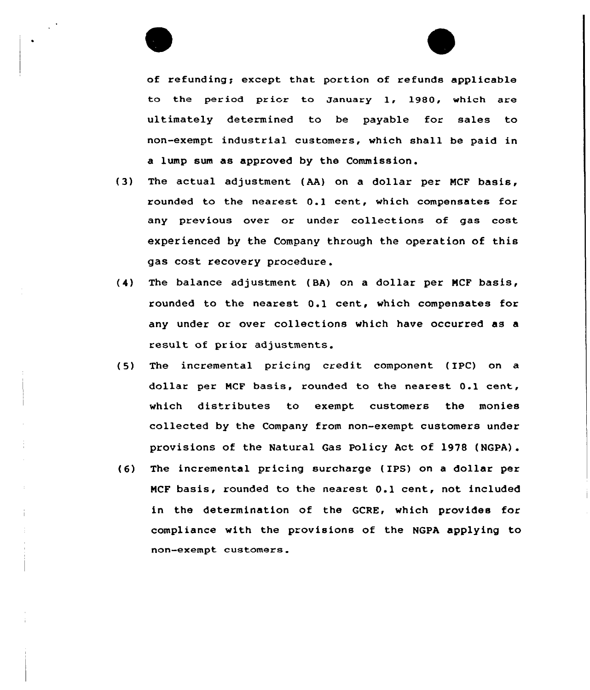

of refunding; except that portion of refunds applicable to the period prior to January 1, 1980, which are ultimately determined to be payable for sales to non-exempt industrial customers, which shall be paid in a lump sum as approved by the Commission.

- (3) The actual adjustment (AA} on a dollar per NCF basis, rounded to the nearest O.l cent, which compensates for any previous over or under collections of gas cost experienced by the Company through the operation of this gas cost recovery procedure .
- (4) The balance adjustment ( BA) on a dollar per NCF basis, rounded to the nearest O.l cent, which compensates for any under or over collections which have occurred as a result of prior adjustments.
- (5) The incremental pricing credit component (IPC) on a dollar per NCF basis, rounded to the nearest O.l cent, which distributes to exempt customers the monies collected by the Company from non-exempt customers under provisions of the Natural Gas Policy Act of 1978 (NGPA).
- (6) The incremental pricing surcharge (IPS) on a dollar per NCF basis, rounded to the nearest O.l cent, not included in the determination of the GCRE, which provides for compliance with the provisions of the NGPA applying to non-exempt customers.